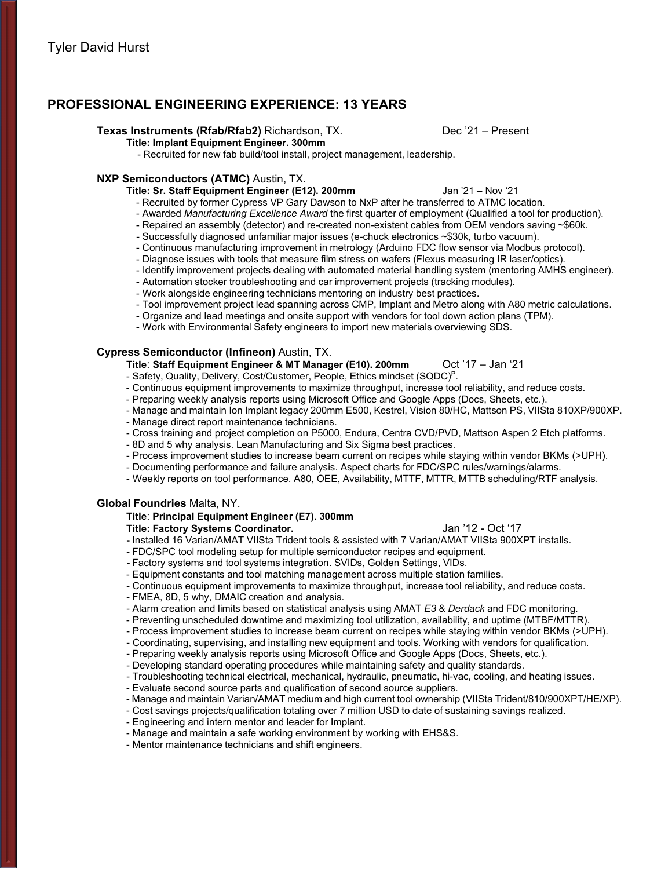# **PROFESSIONAL ENGINEERING EXPERIENCE: 13 YEARS**

### **Texas Instruments (Rfab/Rfab2)** Richardson, TX. Dec '21 – Present

**Title: Implant Equipment Engineer. 300mm**

- Recruited for new fab build/tool install, project management, leadership.

### **NXP Semiconductors (ATMC)** Austin, TX.

**Title: Sr. Staff Equipment Engineer (E12). 200mm** Jan '21 – Nov '21

- Recruited by former Cypress VP Gary Dawson to NxP after he transferred to ATMC location.
- Awarded *Manufacturing Excellence Award* the first quarter of employment (Qualified a tool for production).
- Repaired an assembly (detector) and re-created non-existent cables from OEM vendors saving ~\$60k.
- Successfully diagnosed unfamiliar major issues (e-chuck electronics ~\$30k, turbo vacuum).
- Continuous manufacturing improvement in metrology (Arduino FDC flow sensor via Modbus protocol).
- Diagnose issues with tools that measure film stress on wafers (Flexus measuring IR laser/optics).
- Identify improvement projects dealing with automated material handling system (mentoring AMHS engineer).
- Automation stocker troubleshooting and car improvement projects (tracking modules).
- Work alongside engineering technicians mentoring on industry best practices.
- Tool improvement project lead spanning across CMP, Implant and Metro along with A80 metric calculations.
- Organize and lead meetings and onsite support with vendors for tool down action plans (TPM).
- Work with Environmental Safety engineers to import new materials overviewing SDS.

## **Cypress Semiconductor (Infineon)** Austin, TX.

- **Title**: **Staff Equipment Engineer & MT Manager (E10). 200mm** Oct '17 Jan '21
- Safety, Quality, Delivery, Cost/Customer, People, Ethics mindset (SQDC)P.
- Continuous equipment improvements to maximize throughput, increase tool reliability, and reduce costs.
- Preparing weekly analysis reports using Microsoft Office and Google Apps (Docs, Sheets, etc.).
- Manage and maintain Ion Implant legacy 200mm E500, Kestrel, Vision 80/HC, Mattson PS, VIISta 810XP/900XP.
- Manage direct report maintenance technicians.
- Cross training and project completion on P5000, Endura, Centra CVD/PVD, Mattson Aspen 2 Etch platforms.
- 8D and 5 why analysis. Lean Manufacturing and Six Sigma best practices.
- Process improvement studies to increase beam current on recipes while staying within vendor BKMs (>UPH).
- Documenting performance and failure analysis. Aspect charts for FDC/SPC rules/warnings/alarms.
- Weekly reports on tool performance. A80, OEE, Availability, MTTF, MTTR, MTTB scheduling/RTF analysis.

## **Global Foundries** Malta, NY.

## **Title**: **Principal Equipment Engineer (E7). 300mm**

**Title: Factory Systems Coordinator.** Jan '12 - Oct '17

**-** Installed 16 Varian/AMAT VIISta Trident tools & assisted with 7 Varian/AMAT VIISta 900XPT installs.

- FDC/SPC tool modeling setup for multiple semiconductor recipes and equipment.
- **-** Factory systems and tool systems integration. SVIDs, Golden Settings, VIDs.
- Equipment constants and tool matching management across multiple station families.
- Continuous equipment improvements to maximize throughput, increase tool reliability, and reduce costs.
- FMEA, 8D, 5 why, DMAIC creation and analysis.
- Alarm creation and limits based on statistical analysis using AMAT *E3* & *Derdack* and FDC monitoring.
- Preventing unscheduled downtime and maximizing tool utilization, availability, and uptime (MTBF/MTTR).
- Process improvement studies to increase beam current on recipes while staying within vendor BKMs (>UPH).
- Coordinating, supervising, and installing new equipment and tools. Working with vendors for qualification.
- Preparing weekly analysis reports using Microsoft Office and Google Apps (Docs, Sheets, etc.).
- Developing standard operating procedures while maintaining safety and quality standards.
- Troubleshooting technical electrical, mechanical, hydraulic, pneumatic, hi-vac, cooling, and heating issues.
- Evaluate second source parts and qualification of second source suppliers.
- Manage and maintain Varian/AMAT medium and high current tool ownership (VIISta Trident/810/900XPT/HE/XP).
- Cost savings projects/qualification totaling over 7 million USD to date of sustaining savings realized.
- Engineering and intern mentor and leader for Implant.
- Manage and maintain a safe working environment by working with EHS&S.
- Mentor maintenance technicians and shift engineers.